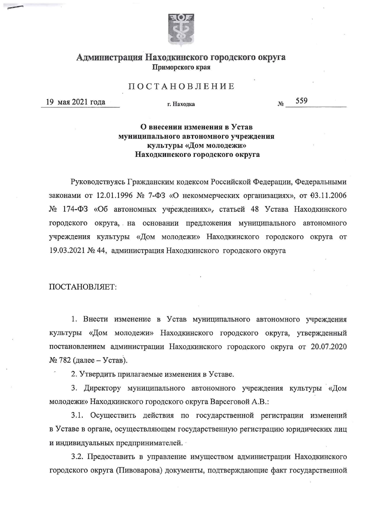

## Администрация Находкинского городского округа Приморского края

## ПОСТАНОВЛЕНИЕ

19 мая 2021 года

г. Нахолка

559 No

## О внесении изменения в Устав муниципального автономного учреждения культуры «Дом молодежи» Находкинского городского округа

Руководствуясь Гражданским кодексом Российской Федерации, Федеральными законами от 12.01.1996 № 7-ФЗ «О некоммерческих организациях», от 03.11.2006 № 174-ФЗ «Об автономных учреждениях», статьей 48 Устава Находкинского городского округа, на основании предложения муниципального автономного учреждения культуры «Дом молодежи» Находкинского городского округа от 19.03.2021 № 44, администрация Находкинского городского округа

ПОСТАНОВЛЯЕТ:

1. Внести изменение в Устав муниципального автономного учреждения культуры «Дом молодежи» Находкинского городского округа, утвержденный постановлением администрации Находкинского городского округа от 20.07.2020  $N$  782 (далее – Устав).

2. Утвердить прилагаемые изменения в Уставе.

3. Директору муниципального автономного учреждения культуры «Дом молодежи» Находкинского городского округа Варсеговой А.В.:

3.1. Осуществить действия по государственной регистрации изменений в Уставе в органе, осуществляющем государственную регистрацию юридических лиц и индивидуальных предпринимателей.

3.2. Предоставить в управление имуществом администрации Находкинского городского округа (Пивоварова) документы, подтверждающие факт государственной